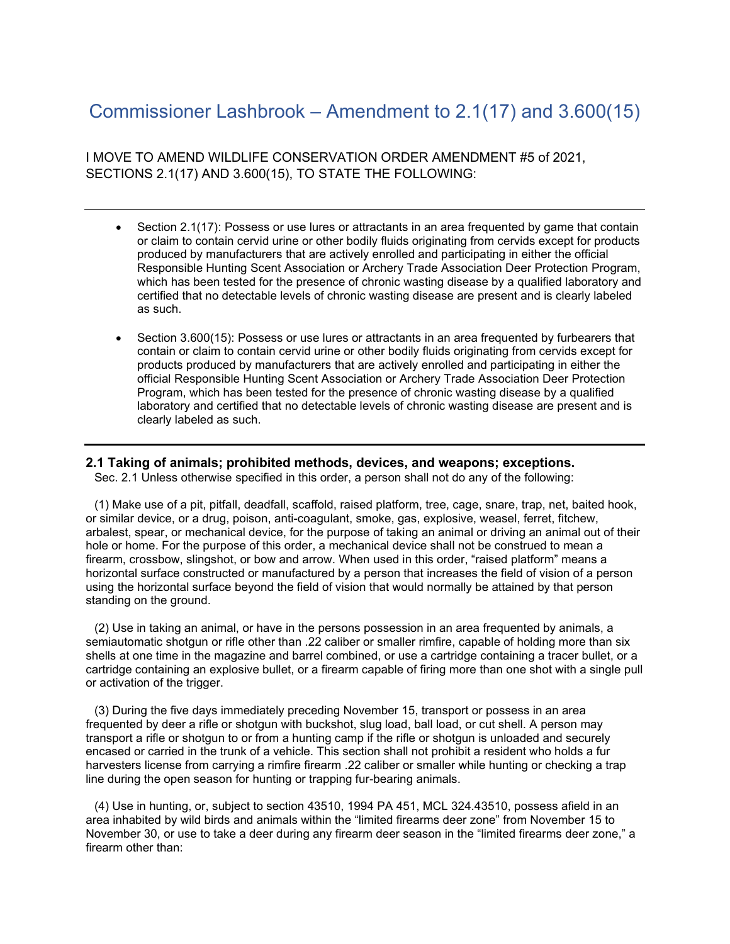## Commissioner Lashbrook – Amendment to 2.1(17) and 3.600(15)

I MOVE TO AMEND WILDLIFE CONSERVATION ORDER AMENDMENT #5 of 2021, SECTIONS 2.1(17) AND 3.600(15), TO STATE THE FOLLOWING:

- Section 2.1(17): Possess or use lures or attractants in an area frequented by game that contain or claim to contain cervid urine or other bodily fluids originating from cervids except for products produced by manufacturers that are actively enrolled and participating in either the official Responsible Hunting Scent Association or Archery Trade Association Deer Protection Program, which has been tested for the presence of chronic wasting disease by a qualified laboratory and certified that no detectable levels of chronic wasting disease are present and is clearly labeled as such.
- Section 3.600(15): Possess or use lures or attractants in an area frequented by furbearers that contain or claim to contain cervid urine or other bodily fluids originating from cervids except for products produced by manufacturers that are actively enrolled and participating in either the official Responsible Hunting Scent Association or Archery Trade Association Deer Protection Program, which has been tested for the presence of chronic wasting disease by a qualified laboratory and certified that no detectable levels of chronic wasting disease are present and is clearly labeled as such.

## **2.1 Taking of animals; prohibited methods, devices, and weapons; exceptions.**

Sec. 2.1 Unless otherwise specified in this order, a person shall not do any of the following:

(1) Make use of a pit, pitfall, deadfall, scaffold, raised platform, tree, cage, snare, trap, net, baited hook, or similar device, or a drug, poison, anti-coagulant, smoke, gas, explosive, weasel, ferret, fitchew, arbalest, spear, or mechanical device, for the purpose of taking an animal or driving an animal out of their hole or home. For the purpose of this order, a mechanical device shall not be construed to mean a firearm, crossbow, slingshot, or bow and arrow. When used in this order, "raised platform" means a horizontal surface constructed or manufactured by a person that increases the field of vision of a person using the horizontal surface beyond the field of vision that would normally be attained by that person standing on the ground.

(2) Use in taking an animal, or have in the persons possession in an area frequented by animals, a semiautomatic shotgun or rifle other than .22 caliber or smaller rimfire, capable of holding more than six shells at one time in the magazine and barrel combined, or use a cartridge containing a tracer bullet, or a cartridge containing an explosive bullet, or a firearm capable of firing more than one shot with a single pull or activation of the trigger.

(3) During the five days immediately preceding November 15, transport or possess in an area frequented by deer a rifle or shotgun with buckshot, slug load, ball load, or cut shell. A person may transport a rifle or shotgun to or from a hunting camp if the rifle or shotgun is unloaded and securely encased or carried in the trunk of a vehicle. This section shall not prohibit a resident who holds a fur harvesters license from carrying a rimfire firearm .22 caliber or smaller while hunting or checking a trap line during the open season for hunting or trapping fur-bearing animals.

(4) Use in hunting, or, subject to section 43510, 1994 PA 451, MCL 324.43510, possess afield in an area inhabited by wild birds and animals within the "limited firearms deer zone" from November 15 to November 30, or use to take a deer during any firearm deer season in the "limited firearms deer zone," a firearm other than: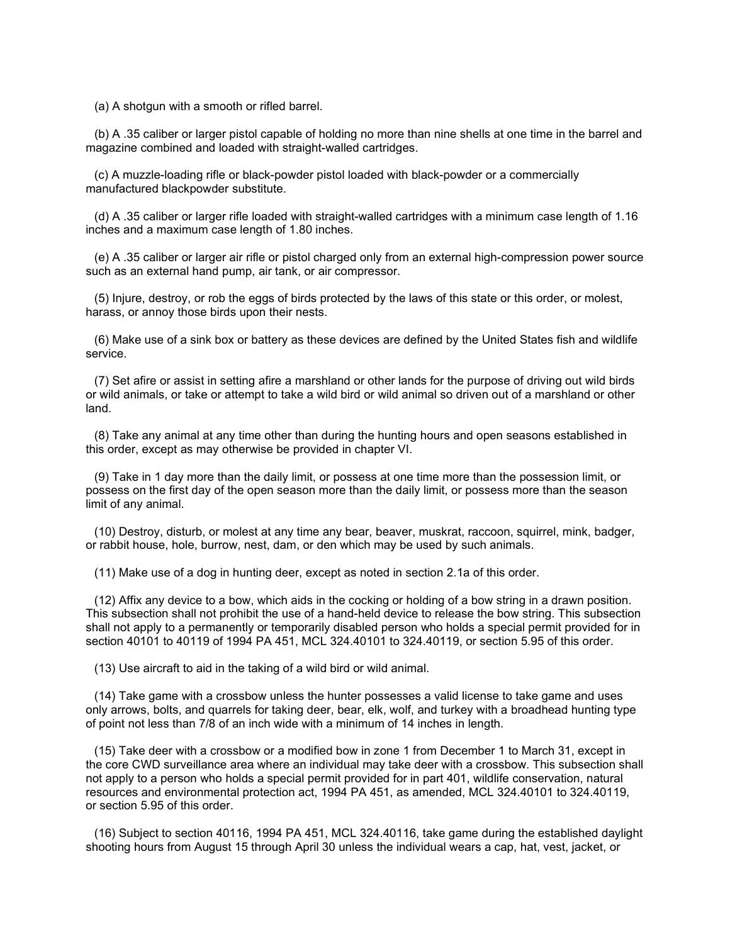(a) A shotgun with a smooth or rifled barrel.

(b) A .35 caliber or larger pistol capable of holding no more than nine shells at one time in the barrel and magazine combined and loaded with straight-walled cartridges.

(c) A muzzle-loading rifle or black-powder pistol loaded with black-powder or a commercially manufactured blackpowder substitute.

(d) A .35 caliber or larger rifle loaded with straight-walled cartridges with a minimum case length of 1.16 inches and a maximum case length of 1.80 inches.

(e) A .35 caliber or larger air rifle or pistol charged only from an external high-compression power source such as an external hand pump, air tank, or air compressor.

(5) Injure, destroy, or rob the eggs of birds protected by the laws of this state or this order, or molest, harass, or annoy those birds upon their nests.

(6) Make use of a sink box or battery as these devices are defined by the United States fish and wildlife service.

(7) Set afire or assist in setting afire a marshland or other lands for the purpose of driving out wild birds or wild animals, or take or attempt to take a wild bird or wild animal so driven out of a marshland or other land.

(8) Take any animal at any time other than during the hunting hours and open seasons established in this order, except as may otherwise be provided in chapter VI.

(9) Take in 1 day more than the daily limit, or possess at one time more than the possession limit, or possess on the first day of the open season more than the daily limit, or possess more than the season limit of any animal.

(10) Destroy, disturb, or molest at any time any bear, beaver, muskrat, raccoon, squirrel, mink, badger, or rabbit house, hole, burrow, nest, dam, or den which may be used by such animals.

(11) Make use of a dog in hunting deer, except as noted in section 2.1a of this order.

(12) Affix any device to a bow, which aids in the cocking or holding of a bow string in a drawn position. This subsection shall not prohibit the use of a hand-held device to release the bow string. This subsection shall not apply to a permanently or temporarily disabled person who holds a special permit provided for in section 40101 to 40119 of 1994 PA 451, MCL 324.40101 to 324.40119, or section 5.95 of this order.

(13) Use aircraft to aid in the taking of a wild bird or wild animal.

(14) Take game with a crossbow unless the hunter possesses a valid license to take game and uses only arrows, bolts, and quarrels for taking deer, bear, elk, wolf, and turkey with a broadhead hunting type of point not less than 7/8 of an inch wide with a minimum of 14 inches in length.

(15) Take deer with a crossbow or a modified bow in zone 1 from December 1 to March 31, except in the core CWD surveillance area where an individual may take deer with a crossbow. This subsection shall not apply to a person who holds a special permit provided for in part 401, wildlife conservation, natural resources and environmental protection act, 1994 PA 451, as amended, MCL 324.40101 to 324.40119, or section 5.95 of this order.

(16) Subject to section 40116, 1994 PA 451, MCL 324.40116, take game during the established daylight shooting hours from August 15 through April 30 unless the individual wears a cap, hat, vest, jacket, or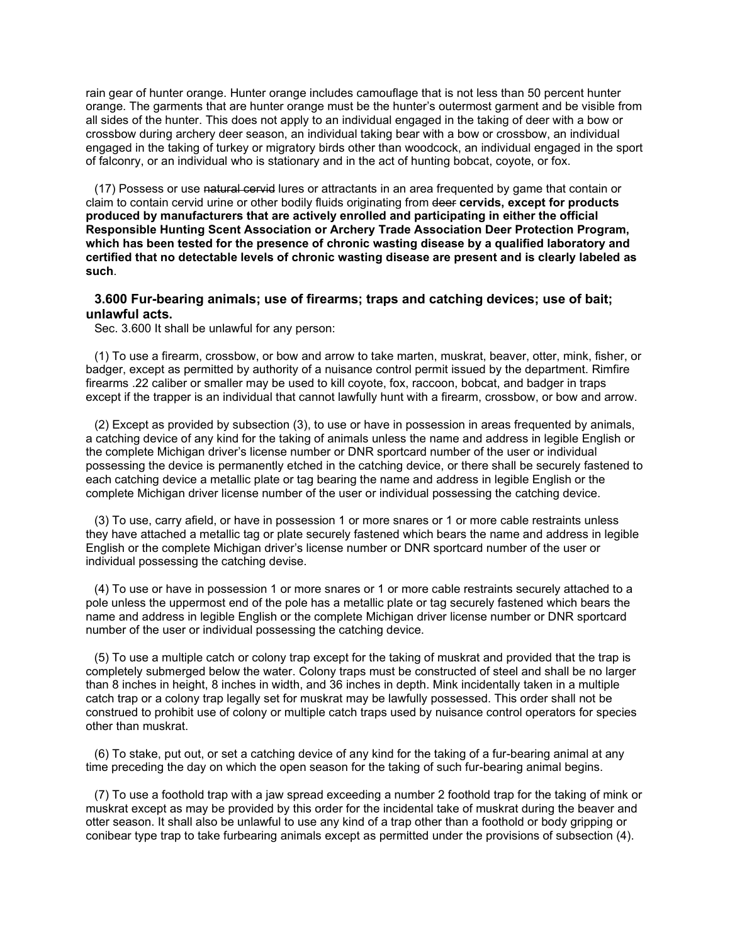rain gear of hunter orange. Hunter orange includes camouflage that is not less than 50 percent hunter orange. The garments that are hunter orange must be the hunter's outermost garment and be visible from all sides of the hunter. This does not apply to an individual engaged in the taking of deer with a bow or crossbow during archery deer season, an individual taking bear with a bow or crossbow, an individual engaged in the taking of turkey or migratory birds other than woodcock, an individual engaged in the sport of falconry, or an individual who is stationary and in the act of hunting bobcat, coyote, or fox.

(17) Possess or use natural cervid lures or attractants in an area frequented by game that contain or claim to contain cervid urine or other bodily fluids originating from deer **cervids, except for products produced by manufacturers that are actively enrolled and participating in either the official Responsible Hunting Scent Association or Archery Trade Association Deer Protection Program, which has been tested for the presence of chronic wasting disease by a qualified laboratory and certified that no detectable levels of chronic wasting disease are present and is clearly labeled as such**.

## **3.600 Fur-bearing animals; use of firearms; traps and catching devices; use of bait; unlawful acts.**

Sec. 3.600 It shall be unlawful for any person:

(1) To use a firearm, crossbow, or bow and arrow to take marten, muskrat, beaver, otter, mink, fisher, or badger, except as permitted by authority of a nuisance control permit issued by the department. Rimfire firearms .22 caliber or smaller may be used to kill coyote, fox, raccoon, bobcat, and badger in traps except if the trapper is an individual that cannot lawfully hunt with a firearm, crossbow, or bow and arrow.

(2) Except as provided by subsection (3), to use or have in possession in areas frequented by animals, a catching device of any kind for the taking of animals unless the name and address in legible English or the complete Michigan driver's license number or DNR sportcard number of the user or individual possessing the device is permanently etched in the catching device, or there shall be securely fastened to each catching device a metallic plate or tag bearing the name and address in legible English or the complete Michigan driver license number of the user or individual possessing the catching device.

(3) To use, carry afield, or have in possession 1 or more snares or 1 or more cable restraints unless they have attached a metallic tag or plate securely fastened which bears the name and address in legible English or the complete Michigan driver's license number or DNR sportcard number of the user or individual possessing the catching devise.

(4) To use or have in possession 1 or more snares or 1 or more cable restraints securely attached to a pole unless the uppermost end of the pole has a metallic plate or tag securely fastened which bears the name and address in legible English or the complete Michigan driver license number or DNR sportcard number of the user or individual possessing the catching device.

(5) To use a multiple catch or colony trap except for the taking of muskrat and provided that the trap is completely submerged below the water. Colony traps must be constructed of steel and shall be no larger than 8 inches in height, 8 inches in width, and 36 inches in depth. Mink incidentally taken in a multiple catch trap or a colony trap legally set for muskrat may be lawfully possessed. This order shall not be construed to prohibit use of colony or multiple catch traps used by nuisance control operators for species other than muskrat.

(6) To stake, put out, or set a catching device of any kind for the taking of a fur-bearing animal at any time preceding the day on which the open season for the taking of such fur-bearing animal begins.

(7) To use a foothold trap with a jaw spread exceeding a number 2 foothold trap for the taking of mink or muskrat except as may be provided by this order for the incidental take of muskrat during the beaver and otter season. It shall also be unlawful to use any kind of a trap other than a foothold or body gripping or conibear type trap to take furbearing animals except as permitted under the provisions of subsection (4).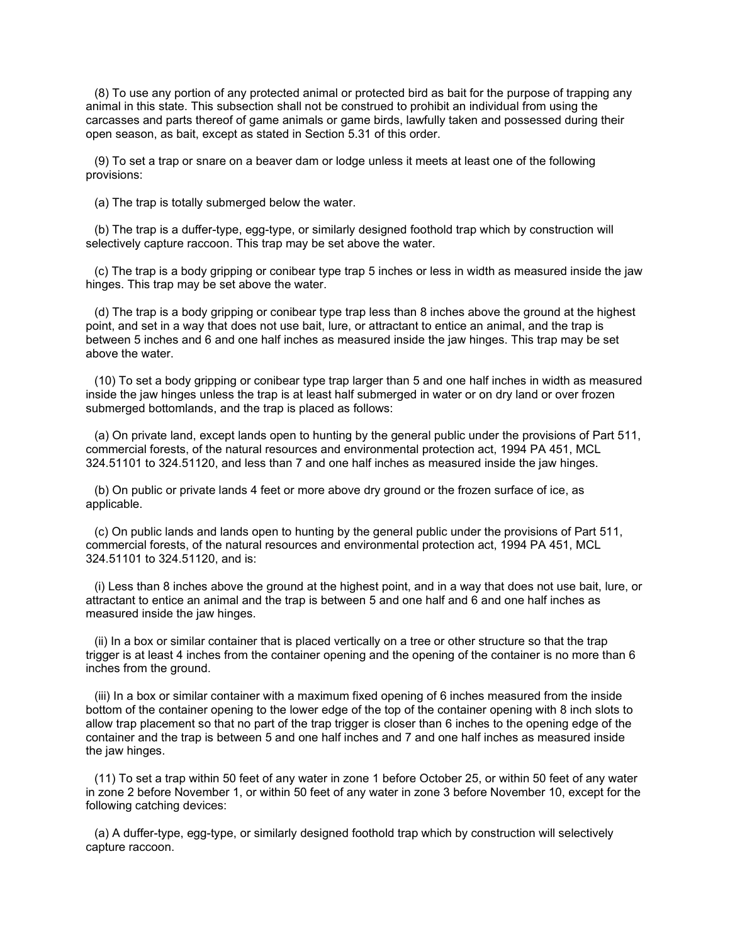(8) To use any portion of any protected animal or protected bird as bait for the purpose of trapping any animal in this state. This subsection shall not be construed to prohibit an individual from using the carcasses and parts thereof of game animals or game birds, lawfully taken and possessed during their open season, as bait, except as stated in Section 5.31 of this order.

(9) To set a trap or snare on a beaver dam or lodge unless it meets at least one of the following provisions:

(a) The trap is totally submerged below the water.

(b) The trap is a duffer-type, egg-type, or similarly designed foothold trap which by construction will selectively capture raccoon. This trap may be set above the water.

(c) The trap is a body gripping or conibear type trap 5 inches or less in width as measured inside the jaw hinges. This trap may be set above the water.

(d) The trap is a body gripping or conibear type trap less than 8 inches above the ground at the highest point, and set in a way that does not use bait, lure, or attractant to entice an animal, and the trap is between 5 inches and 6 and one half inches as measured inside the jaw hinges. This trap may be set above the water.

(10) To set a body gripping or conibear type trap larger than 5 and one half inches in width as measured inside the jaw hinges unless the trap is at least half submerged in water or on dry land or over frozen submerged bottomlands, and the trap is placed as follows:

(a) On private land, except lands open to hunting by the general public under the provisions of Part 511, commercial forests, of the natural resources and environmental protection act, 1994 PA 451, MCL 324.51101 to 324.51120, and less than 7 and one half inches as measured inside the jaw hinges.

(b) On public or private lands 4 feet or more above dry ground or the frozen surface of ice, as applicable.

(c) On public lands and lands open to hunting by the general public under the provisions of Part 511, commercial forests, of the natural resources and environmental protection act, 1994 PA 451, MCL 324.51101 to 324.51120, and is:

(i) Less than 8 inches above the ground at the highest point, and in a way that does not use bait, lure, or attractant to entice an animal and the trap is between 5 and one half and 6 and one half inches as measured inside the jaw hinges.

(ii) In a box or similar container that is placed vertically on a tree or other structure so that the trap trigger is at least 4 inches from the container opening and the opening of the container is no more than 6 inches from the ground.

(iii) In a box or similar container with a maximum fixed opening of 6 inches measured from the inside bottom of the container opening to the lower edge of the top of the container opening with 8 inch slots to allow trap placement so that no part of the trap trigger is closer than 6 inches to the opening edge of the container and the trap is between 5 and one half inches and 7 and one half inches as measured inside the jaw hinges.

(11) To set a trap within 50 feet of any water in zone 1 before October 25, or within 50 feet of any water in zone 2 before November 1, or within 50 feet of any water in zone 3 before November 10, except for the following catching devices:

(a) A duffer-type, egg-type, or similarly designed foothold trap which by construction will selectively capture raccoon.